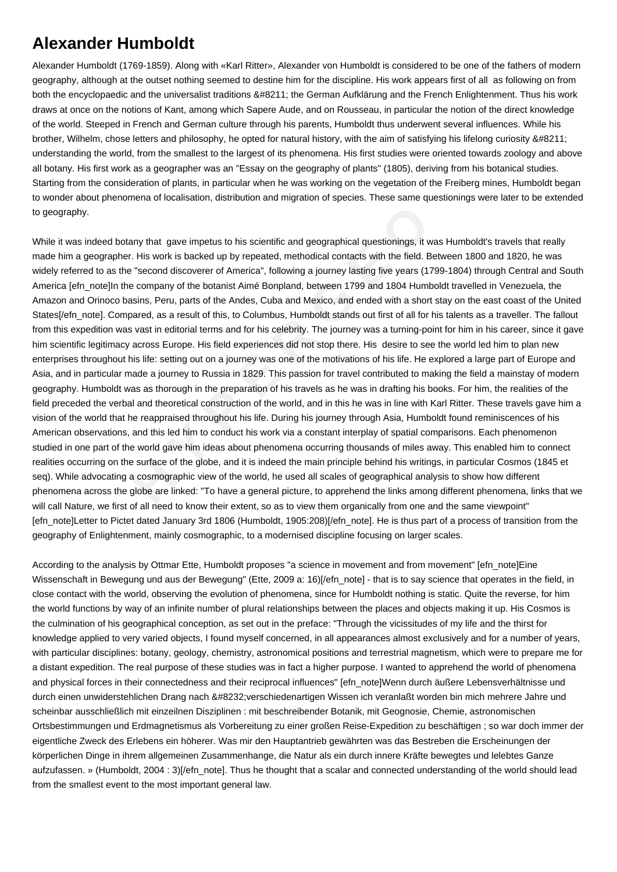## **Alexander Humboldt**

Alexander Humboldt (1769-1859). Along with «Karl Ritter», Alexander von Humboldt is considered to be one of the fathers of modern geography, although at the outset nothing seemed to destine him for the discipline. His work appears first of all as following on from both the encyclopaedic and the universalist traditions – the German Aufklärung and the French Enlightenment. Thus his work draws at once on the notions of Kant, among which Sapere Aude, and on Rousseau, in particular the notion of the direct knowledge of the world. Steeped in French and German culture through his parents, Humboldt thus underwent several influences. While his brother, Wilhelm, chose letters and philosophy, he opted for natural history, with the aim of satisfying his lifelong curiosity – understanding the world, from the smallest to the largest of its phenomena. His first studies were oriented towards zoology and above all botany. His first work as a geographer was an "Essay on the geography of plants" (1805), deriving from his botanical studies. Starting from the consideration of plants, in particular when he was working on the vegetation of the Freiberg mines, Humboldt began to wonder about phenomena of localisation, distribution and migration of species. These same questionings were later to be extended to geography.

ed botany that gave impetus to his scientific and geographical questionings, it was<br>rrapher. His work is backed up by repeated, methodical contacts with the field. Betw<br>as the "second discoverer of America", following a jo While it was indeed botany that gave impetus to his scientific and geographical questionings, it was Humboldt's travels that really made him a geographer. His work is backed up by repeated, methodical contacts with the field. Between 1800 and 1820, he was widely referred to as the "second discoverer of America", following a journey lasting five years (1799-1804) through Central and South America [efn\_note]In the company of the botanist Aimé Bonpland, between 1799 and 1804 Humboldt travelled in Venezuela, the Amazon and Orinoco basins, Peru, parts of the Andes, Cuba and Mexico, and ended with a short stay on the east coast of the United States[/efn\_note]. Compared, as a result of this, to Columbus, Humboldt stands out first of all for his talents as a traveller. The fallout from this expedition was vast in editorial terms and for his celebrity. The journey was a turning-point for him in his career, since it gave him scientific legitimacy across Europe. His field experiences did not stop there. His desire to see the world led him to plan new enterprises throughout his life: setting out on a journey was one of the motivations of his life. He explored a large part of Europe and Asia, and in particular made a journey to Russia in 1829. This passion for travel contributed to making the field a mainstay of modern geography. Humboldt was as thorough in the preparation of his travels as he was in drafting his books. For him, the realities of the field preceded the verbal and theoretical construction of the world, and in this he was in line with Karl Ritter. These travels gave him a vision of the world that he reappraised throughout his life. During his journey through Asia, Humboldt found reminiscences of his American observations, and this led him to conduct his work via a constant interplay of spatial comparisons. Each phenomenon studied in one part of the world gave him ideas about phenomena occurring thousands of miles away. This enabled him to connect realities occurring on the surface of the globe, and it is indeed the main principle behind his writings, in particular Cosmos (1845 et seq). While advocating a cosmographic view of the world, he used all scales of geographical analysis to show how different phenomena across the globe are linked: "To have a general picture, to apprehend the links among different phenomena, links that we will call Nature, we first of all need to know their extent, so as to view them organically from one and the same viewpoint" [efn\_note]Letter to Pictet dated January 3rd 1806 (Humboldt, 1905:208)[/efn\_note]. He is thus part of a process of transition from the geography of Enlightenment, mainly cosmographic, to a modernised discipline focusing on larger scales.

According to the analysis by Ottmar Ette, Humboldt proposes "a science in movement and from movement" [efn\_note]Eine Wissenschaft in Bewegung und aus der Bewegung" (Ette, 2009 a: 16)[/efn\_note] - that is to say science that operates in the field, in close contact with the world, observing the evolution of phenomena, since for Humboldt nothing is static. Quite the reverse, for him the world functions by way of an infinite number of plural relationships between the places and objects making it up. His Cosmos is the culmination of his geographical conception, as set out in the preface: "Through the vicissitudes of my life and the thirst for knowledge applied to very varied objects, I found myself concerned, in all appearances almost exclusively and for a number of years, with particular disciplines: botany, geology, chemistry, astronomical positions and terrestrial magnetism, which were to prepare me for a distant expedition. The real purpose of these studies was in fact a higher purpose. I wanted to apprehend the world of phenomena and physical forces in their connectedness and their reciprocal influences" [efn\_note]Wenn durch äußere Lebensverhältnisse und durch einen unwiderstehlichen Drang nach 
verschiedenartigen Wissen ich veranlaßt worden bin mich mehrere Jahre und scheinbar ausschließlich mit einzeilnen Disziplinen : mit beschreibender Botanik, mit Geognosie, Chemie, astronomischen Ortsbestimmungen und Erdmagnetismus als Vorbereitung zu einer großen Reise-Expedition zu beschäftigen ; so war doch immer der eigentliche Zweck des Erlebens ein höherer. Was mir den Hauptantrieb gewährten was das Bestreben die Erscheinungen der körperlichen Dinge in ihrem allgemeinen Zusammenhange, die Natur als ein durch innere Kräfte bewegtes und lelebtes Ganze aufzufassen. » (Humboldt, 2004 : 3)[/efn\_note]. Thus he thought that a scalar and connected understanding of the world should lead from the smallest event to the most important general law.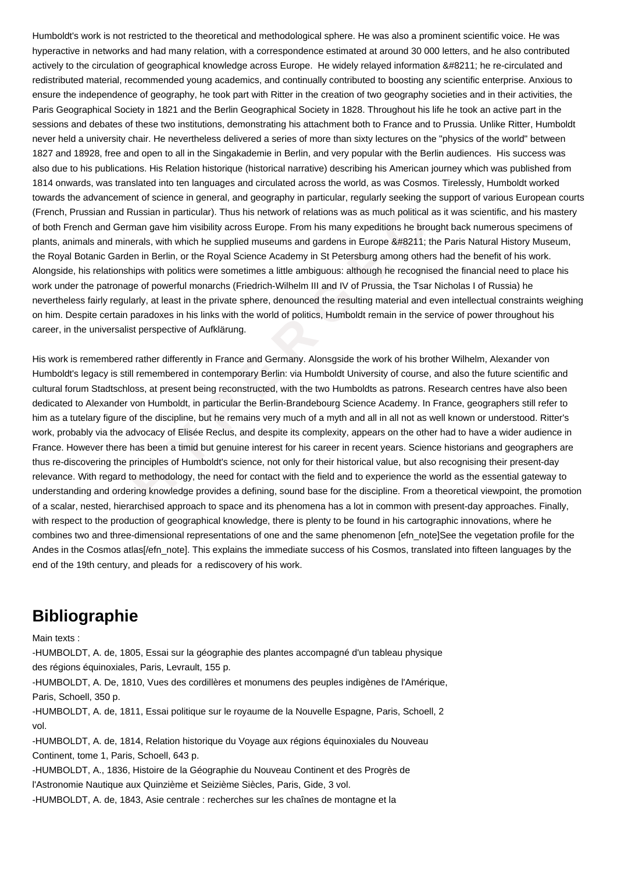Humboldt's work is not restricted to the theoretical and methodological sphere. He was also a prominent scientific voice. He was hyperactive in networks and had many relation, with a correspondence estimated at around 30 000 letters, and he also contributed actively to the circulation of geographical knowledge across Europe. He widely relayed information – he re-circulated and redistributed material, recommended young academics, and continually contributed to boosting any scientific enterprise. Anxious to ensure the independence of geography, he took part with Ritter in the creation of two geography societies and in their activities, the Paris Geographical Society in 1821 and the Berlin Geographical Society in 1828. Throughout his life he took an active part in the sessions and debates of these two institutions, demonstrating his attachment both to France and to Prussia. Unlike Ritter, Humboldt never held a university chair. He nevertheless delivered a series of more than sixty lectures on the "physics of the world" between 1827 and 18928, free and open to all in the Singakademie in Berlin, and very popular with the Berlin audiences. His success was also due to his publications. His Relation historique (historical narrative) describing his American journey which was published from 1814 onwards, was translated into ten languages and circulated across the world, as was Cosmos. Tirelessly, Humboldt worked towards the advancement of science in general, and geography in particular, regularly seeking the support of various European courts (French, Prussian and Russian in particular). Thus his network of relations was as much political as it was scientific, and his mastery of both French and German gave him visibility across Europe. From his many expeditions he brought back numerous specimens of plants, animals and minerals, with which he supplied museums and gardens in Europe – the Paris Natural History Museum, the Royal Botanic Garden in Berlin, or the Royal Science Academy in St Petersburg among others had the benefit of his work. Alongside, his relationships with politics were sometimes a little ambiguous: although he recognised the financial need to place his work under the patronage of powerful monarchs (Friedrich-Wilhelm III and IV of Prussia, the Tsar Nicholas I of Russia) he nevertheless fairly regularly, at least in the private sphere, denounced the resulting material and even intellectual constraints weighing on him. Despite certain paradoxes in his links with the world of politics, Humboldt remain in the service of power throughout his career, in the universalist perspective of Aufklärung.

n and Russian in particular). Thus his network of relations was as much political as in German gave him visibility across Europe. From his many expeditions he brough dimentals, with which he supplied museums and gardens in His work is remembered rather differently in France and Germany. Alonsgside the work of his brother Wilhelm, Alexander von Humboldt's legacy is still remembered in contemporary Berlin: via Humboldt University of course, and also the future scientific and cultural forum Stadtschloss, at present being reconstructed, with the two Humboldts as patrons. Research centres have also been dedicated to Alexander von Humboldt, in particular the Berlin-Brandebourg Science Academy. In France, geographers still refer to him as a tutelary figure of the discipline, but he remains very much of a myth and all in all not as well known or understood. Ritter's work, probably via the advocacy of Elisée Reclus, and despite its complexity, appears on the other had to have a wider audience in France. However there has been a timid but genuine interest for his career in recent years. Science historians and geographers are thus re-discovering the principles of Humboldt's science, not only for their historical value, but also recognising their present-day relevance. With regard to methodology, the need for contact with the field and to experience the world as the essential gateway to understanding and ordering knowledge provides a defining, sound base for the discipline. From a theoretical viewpoint, the promotion of a scalar, nested, hierarchised approach to space and its phenomena has a lot in common with present-day approaches. Finally, with respect to the production of geographical knowledge, there is plenty to be found in his cartographic innovations, where he combines two and three-dimensional representations of one and the same phenomenon [efn\_note]See the vegetation profile for the Andes in the Cosmos atlas[/efn\_note]. This explains the immediate success of his Cosmos, translated into fifteen languages by the end of the 19th century, and pleads for a rediscovery of his work.

## **Bibliographie**

Main texts :

-HUMBOLDT, A. de, 1805, Essai sur la géographie des plantes accompagné d'un tableau physique des régions équinoxiales, Paris, Levrault, 155 p.

-HUMBOLDT, A. De, 1810, Vues des cordillères et monumens des peuples indigènes de l'Amérique, Paris, Schoell, 350 p.

-HUMBOLDT, A. de, 1811, Essai politique sur le royaume de la Nouvelle Espagne, Paris, Schoell, 2 vol.

-HUMBOLDT, A. de, 1814, Relation historique du Voyage aux régions équinoxiales du Nouveau Continent, tome 1, Paris, Schoell, 643 p.

-HUMBOLDT, A., 1836, Histoire de la Géographie du Nouveau Continent et des Progrès de l'Astronomie Nautique aux Quinzième et Seizième Siècles, Paris, Gide, 3 vol. -HUMBOLDT, A. de, 1843, Asie centrale : recherches sur les chaînes de montagne et la